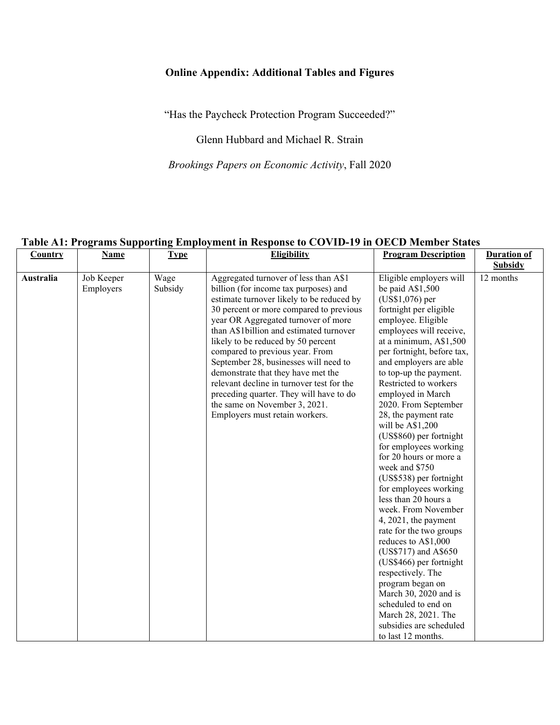## **Online Appendix: Additional Tables and Figures**

"Has the Paycheck Protection Program Succeeded?"

Glenn Hubbard and Michael R. Strain

*Brookings Papers on Economic Activity*, Fall 2020

## **Country Name Type Eligibility Program Description Duration of Program Description Subsidy Australia** Job Keeper Employers Wage Subsidy Aggregated turnover of less than A\$1 billion (for income tax purposes) and estimate turnover likely to be reduced by 30 percent or more compared to previous year OR Aggregated turnover of more than A\$1billion and estimated turnover likely to be reduced by 50 percent compared to previous year. From September 28, businesses will need to demonstrate that they have met the relevant decline in turnover test for the preceding quarter. They will have to do the same on November 3, 2021. Employers must retain workers. Eligible employers will be paid A\$1,500 (US\$1,076) per fortnight per eligible employee. Eligible employees will receive, at a minimum, A\$1,500 per fortnight, before tax, and employers are able to top-up the payment. Restricted to workers employed in March 2020. From September 28, the payment rate will be A\$1,200 (US\$860) per fortnight for employees working for 20 hours or more a week and \$750 (US\$538) per fortnight for employees working less than 20 hours a week. From November 4, 2021, the payment rate for the two groups reduces to A\$1,000 (US\$717) and A\$650 (US\$466) per fortnight respectively. The program began on March 30, 2020 and is scheduled to end on March 28, 2021. The subsidies are scheduled to last 12 months. 12 months

## **Table A1: Programs Supporting Employment in Response to COVID-19 in OECD Member States**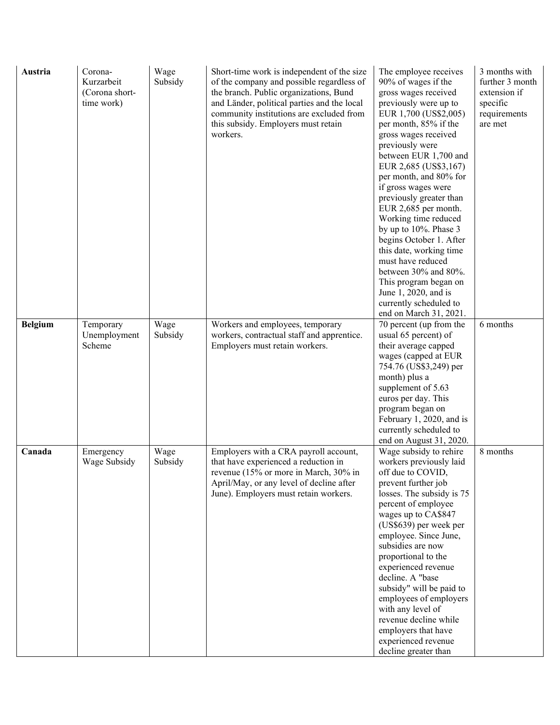| Austria<br><b>Belgium</b> | Corona-<br>Kurzarbeit<br>(Corona short-<br>time work)<br>Temporary | Wage<br>Subsidy<br>Wage | Short-time work is independent of the size<br>of the company and possible regardless of<br>the branch. Public organizations, Bund<br>and Länder, political parties and the local<br>community institutions are excluded from<br>this subsidy. Employers must retain<br>workers.<br>Workers and employees, temporary | The employee receives<br>90% of wages if the<br>gross wages received<br>previously were up to<br>EUR 1,700 (US\$2,005)<br>per month, 85% if the<br>gross wages received<br>previously were<br>between EUR 1,700 and<br>EUR 2,685 (US\$3,167)<br>per month, and 80% for<br>if gross wages were<br>previously greater than<br>EUR 2,685 per month.<br>Working time reduced<br>by up to 10%. Phase 3<br>begins October 1. After<br>this date, working time<br>must have reduced<br>between 30% and 80%.<br>This program began on<br>June 1, 2020, and is<br>currently scheduled to<br>end on March 31, 2021.<br>70 percent (up from the | 3 months with<br>further 3 month<br>extension if<br>specific<br>requirements<br>are met<br>6 months |
|---------------------------|--------------------------------------------------------------------|-------------------------|---------------------------------------------------------------------------------------------------------------------------------------------------------------------------------------------------------------------------------------------------------------------------------------------------------------------|--------------------------------------------------------------------------------------------------------------------------------------------------------------------------------------------------------------------------------------------------------------------------------------------------------------------------------------------------------------------------------------------------------------------------------------------------------------------------------------------------------------------------------------------------------------------------------------------------------------------------------------|-----------------------------------------------------------------------------------------------------|
|                           | Unemployment<br>Scheme                                             | Subsidy                 | workers, contractual staff and apprentice.<br>Employers must retain workers.                                                                                                                                                                                                                                        | usual 65 percent) of<br>their average capped<br>wages (capped at EUR<br>754.76 (US\$3,249) per<br>month) plus a<br>supplement of 5.63<br>euros per day. This<br>program began on<br>February 1, 2020, and is<br>currently scheduled to<br>end on August 31, 2020.                                                                                                                                                                                                                                                                                                                                                                    |                                                                                                     |
| Canada                    | Emergency<br>Wage Subsidy                                          | Wage<br>Subsidy         | Employers with a CRA payroll account,<br>that have experienced a reduction in<br>revenue (15% or more in March, 30% in<br>April/May, or any level of decline after<br>June). Employers must retain workers.                                                                                                         | Wage subsidy to rehire<br>workers previously laid<br>off due to COVID,<br>prevent further job<br>losses. The subsidy is 75<br>percent of employee<br>wages up to CA\$847<br>(US\$639) per week per<br>employee. Since June,<br>subsidies are now<br>proportional to the<br>experienced revenue<br>decline. A "base<br>subsidy" will be paid to<br>employees of employers<br>with any level of<br>revenue decline while<br>employers that have<br>experienced revenue<br>decline greater than                                                                                                                                         | 8 months                                                                                            |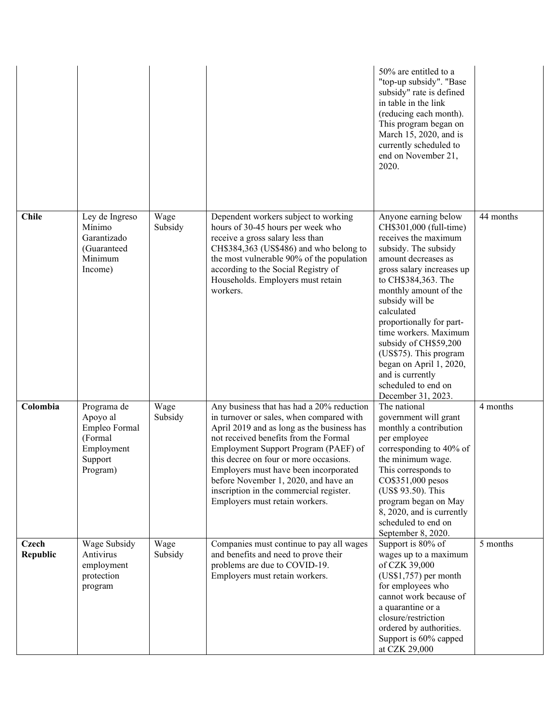|                          |                                                                                          |                 |                                                                                                                                                                                                                                                                                                                                                                                                                              | 50% are entitled to a<br>"top-up subsidy". "Base<br>subsidy" rate is defined<br>in table in the link<br>(reducing each month).<br>This program began on<br>March 15, 2020, and is<br>currently scheduled to<br>end on November 21,<br>2020.                                                                                                                                                                                              |           |
|--------------------------|------------------------------------------------------------------------------------------|-----------------|------------------------------------------------------------------------------------------------------------------------------------------------------------------------------------------------------------------------------------------------------------------------------------------------------------------------------------------------------------------------------------------------------------------------------|------------------------------------------------------------------------------------------------------------------------------------------------------------------------------------------------------------------------------------------------------------------------------------------------------------------------------------------------------------------------------------------------------------------------------------------|-----------|
| <b>Chile</b>             | Ley de Ingreso<br>Mínimo<br>Garantizado<br>(Guaranteed<br>Minimum<br>Income)             | Wage<br>Subsidy | Dependent workers subject to working<br>hours of 30-45 hours per week who<br>receive a gross salary less than<br>CH\$384,363 (US\$486) and who belong to<br>the most vulnerable 90% of the population<br>according to the Social Registry of<br>Households. Employers must retain<br>workers.                                                                                                                                | Anyone earning below<br>CH\$301,000 (full-time)<br>receives the maximum<br>subsidy. The subsidy<br>amount decreases as<br>gross salary increases up<br>to CH\$384,363. The<br>monthly amount of the<br>subsidy will be<br>calculated<br>proportionally for part-<br>time workers. Maximum<br>subsidy of CH\$59,200<br>(US\$75). This program<br>began on April 1, 2020,<br>and is currently<br>scheduled to end on<br>December 31, 2023. | 44 months |
| Colombia                 | Programa de<br>Apoyo al<br>Empleo Formal<br>(Formal<br>Employment<br>Support<br>Program) | Wage<br>Subsidy | Any business that has had a 20% reduction<br>in turnover or sales, when compared with<br>April 2019 and as long as the business has<br>not received benefits from the Formal<br>Employment Support Program (PAEF) of<br>this decree on four or more occasions.<br>Employers must have been incorporated<br>before November 1, 2020, and have an<br>inscription in the commercial register.<br>Employers must retain workers. | The national<br>government will grant<br>monthly a contribution<br>per employee<br>corresponding to 40% of<br>the minimum wage.<br>This corresponds to<br>CO\$351,000 pesos<br>(US\$ 93.50). This<br>program began on May<br>8, 2020, and is currently<br>scheduled to end on<br>September 8, 2020.                                                                                                                                      | 4 months  |
| <b>Czech</b><br>Republic | Wage Subsidy<br>Antivirus<br>employment<br>protection<br>program                         | Wage<br>Subsidy | Companies must continue to pay all wages<br>and benefits and need to prove their<br>problems are due to COVID-19.<br>Employers must retain workers.                                                                                                                                                                                                                                                                          | Support is 80% of<br>wages up to a maximum<br>of CZK 39,000<br>$(US$1,757)$ per month<br>for employees who<br>cannot work because of<br>a quarantine or a<br>closure/restriction<br>ordered by authorities.<br>Support is 60% capped<br>at CZK 29,000                                                                                                                                                                                    | 5 months  |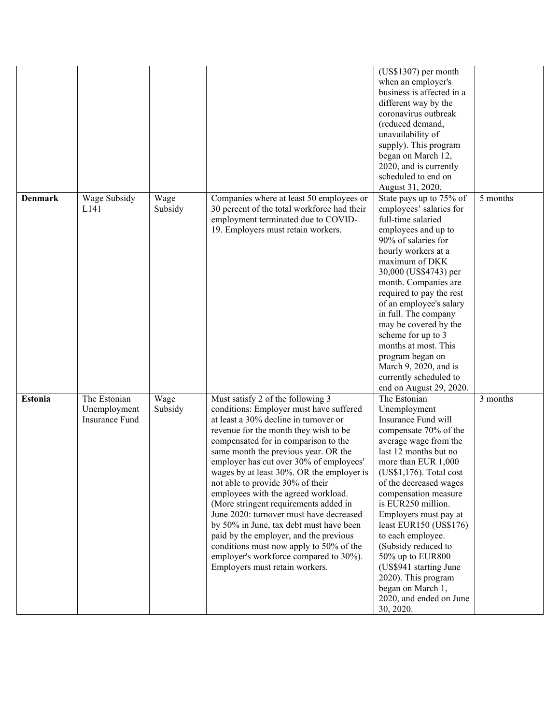|                |                                                |                 |                                                                                                                                                                                                                                                                                                                                                                                                                                                                                                                                                                                                                                                                                                                   | $(US$1307)$ per month<br>when an employer's<br>business is affected in a<br>different way by the<br>coronavirus outbreak<br>(reduced demand,<br>unavailability of<br>supply). This program<br>began on March 12,<br>2020, and is currently<br>scheduled to end on<br>August 31, 2020.                                                                                                                                                                                                        |          |
|----------------|------------------------------------------------|-----------------|-------------------------------------------------------------------------------------------------------------------------------------------------------------------------------------------------------------------------------------------------------------------------------------------------------------------------------------------------------------------------------------------------------------------------------------------------------------------------------------------------------------------------------------------------------------------------------------------------------------------------------------------------------------------------------------------------------------------|----------------------------------------------------------------------------------------------------------------------------------------------------------------------------------------------------------------------------------------------------------------------------------------------------------------------------------------------------------------------------------------------------------------------------------------------------------------------------------------------|----------|
| <b>Denmark</b> | Wage Subsidy<br>L <sub>141</sub>               | Wage<br>Subsidy | Companies where at least 50 employees or<br>30 percent of the total workforce had their<br>employment terminated due to COVID-<br>19. Employers must retain workers.                                                                                                                                                                                                                                                                                                                                                                                                                                                                                                                                              | State pays up to 75% of<br>employees' salaries for<br>full-time salaried<br>employees and up to<br>90% of salaries for<br>hourly workers at a<br>maximum of DKK<br>30,000 (US\$4743) per<br>month. Companies are<br>required to pay the rest<br>of an employee's salary<br>in full. The company<br>may be covered by the<br>scheme for up to 3<br>months at most. This<br>program began on<br>March 9, 2020, and is<br>currently scheduled to<br>end on August 29, 2020.                     | 5 months |
| <b>Estonia</b> | The Estonian<br>Unemployment<br>Insurance Fund | Wage<br>Subsidy | Must satisfy 2 of the following 3<br>conditions: Employer must have suffered<br>at least a 30% decline in turnover or<br>revenue for the month they wish to be<br>compensated for in comparison to the<br>same month the previous year. OR the<br>employer has cut over 30% of employees'<br>wages by at least 30%. OR the employer is<br>not able to provide 30% of their<br>employees with the agreed workload.<br>(More stringent requirements added in<br>June 2020: turnover must have decreased<br>by 50% in June, tax debt must have been<br>paid by the employer, and the previous<br>conditions must now apply to 50% of the<br>employer's workforce compared to 30%).<br>Employers must retain workers. | The Estonian<br>Unemployment<br>Insurance Fund will<br>compensate 70% of the<br>average wage from the<br>last 12 months but no<br>more than EUR 1,000<br>$(US$1,176)$ . Total cost<br>of the decreased wages<br>compensation measure<br>is EUR250 million.<br>Employers must pay at<br>least EUR150 $(US$176)$<br>to each employee.<br>(Subsidy reduced to<br>50% up to EUR800<br>(US\$941 starting June<br>2020). This program<br>began on March 1,<br>2020, and ended on June<br>30, 2020. | 3 months |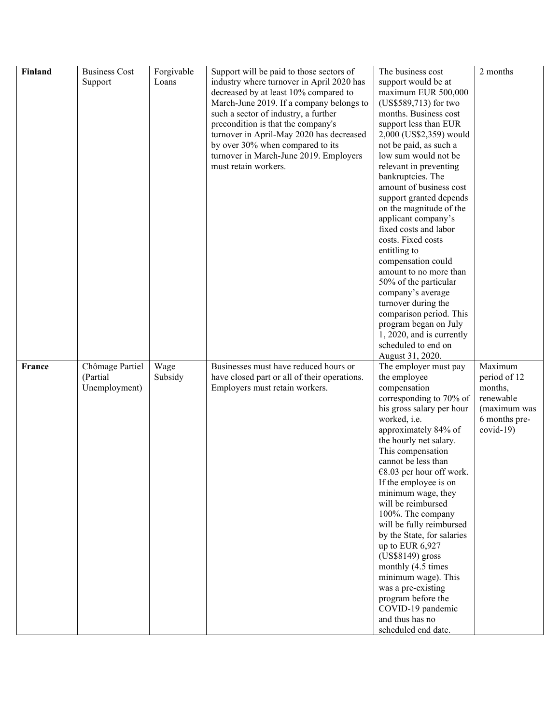| Finland | <b>Business Cost</b><br>Support              | Forgivable<br>Loans | Support will be paid to those sectors of<br>industry where turnover in April 2020 has<br>decreased by at least 10% compared to<br>March-June 2019. If a company belongs to<br>such a sector of industry, a further<br>precondition is that the company's<br>turnover in April-May 2020 has decreased<br>by over 30% when compared to its<br>turnover in March-June 2019. Employers<br>must retain workers. | The business cost<br>support would be at<br>maximum EUR 500,000<br>(US\$589,713) for two<br>months. Business cost<br>support less than EUR<br>2,000 (US\$2,359) would<br>not be paid, as such a<br>low sum would not be<br>relevant in preventing<br>bankruptcies. The<br>amount of business cost<br>support granted depends<br>on the magnitude of the<br>applicant company's<br>fixed costs and labor<br>costs. Fixed costs<br>entitling to<br>compensation could<br>amount to no more than<br>50% of the particular<br>company's average<br>turnover during the<br>comparison period. This<br>program began on July<br>1, 2020, and is currently<br>scheduled to end on<br>August 31, 2020. | 2 months                                                                                       |
|---------|----------------------------------------------|---------------------|------------------------------------------------------------------------------------------------------------------------------------------------------------------------------------------------------------------------------------------------------------------------------------------------------------------------------------------------------------------------------------------------------------|------------------------------------------------------------------------------------------------------------------------------------------------------------------------------------------------------------------------------------------------------------------------------------------------------------------------------------------------------------------------------------------------------------------------------------------------------------------------------------------------------------------------------------------------------------------------------------------------------------------------------------------------------------------------------------------------|------------------------------------------------------------------------------------------------|
| France  | Chômage Partiel<br>(Partial<br>Unemployment) | Wage<br>Subsidy     | Businesses must have reduced hours or<br>have closed part or all of their operations.<br>Employers must retain workers.                                                                                                                                                                                                                                                                                    | The employer must pay<br>the employee<br>compensation<br>corresponding to 70% of<br>his gross salary per hour<br>worked, i.e.<br>approximately 84% of<br>the hourly net salary.<br>This compensation<br>cannot be less than<br>$€8.03$ per hour off work.<br>If the employee is on<br>minimum wage, they<br>will be reimbursed<br>100%. The company<br>will be fully reimbursed<br>by the State, for salaries<br>up to EUR 6,927<br>(US\$8149) gross<br>monthly (4.5 times<br>minimum wage). This<br>was a pre-existing<br>program before the<br>COVID-19 pandemic<br>and thus has no<br>scheduled end date.                                                                                   | Maximum<br>period of 12<br>months,<br>renewable<br>(maximum was<br>6 months pre-<br>$covid-19$ |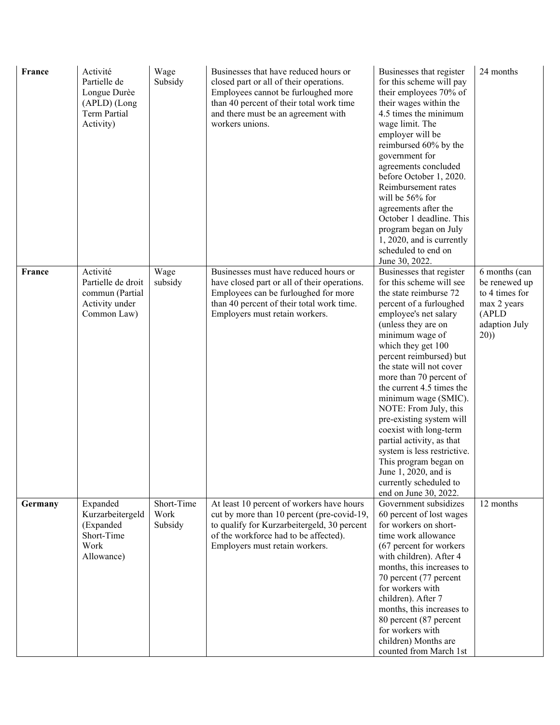| France  | Activité<br>Partielle de<br>Longue Durèe<br>(APLD) (Long<br><b>Term Partial</b><br>Activity) | Wage<br>Subsidy               | Businesses that have reduced hours or<br>closed part or all of their operations.<br>Employees cannot be furloughed more<br>than 40 percent of their total work time<br>and there must be an agreement with<br>workers unions. | Businesses that register<br>for this scheme will pay<br>their employees 70% of<br>their wages within the<br>4.5 times the minimum<br>wage limit. The<br>employer will be<br>reimbursed 60% by the<br>government for<br>agreements concluded<br>before October 1, 2020.<br>Reimbursement rates<br>will be 56% for<br>agreements after the<br>October 1 deadline. This<br>program began on July<br>1, 2020, and is currently<br>scheduled to end on<br>June 30, 2022.                                                                                                                      | 24 months                                                                                          |
|---------|----------------------------------------------------------------------------------------------|-------------------------------|-------------------------------------------------------------------------------------------------------------------------------------------------------------------------------------------------------------------------------|------------------------------------------------------------------------------------------------------------------------------------------------------------------------------------------------------------------------------------------------------------------------------------------------------------------------------------------------------------------------------------------------------------------------------------------------------------------------------------------------------------------------------------------------------------------------------------------|----------------------------------------------------------------------------------------------------|
| France  | Activité<br>Partielle de droit<br>commun (Partial<br>Activity under<br>Common Law)           | Wage<br>subsidy               | Businesses must have reduced hours or<br>have closed part or all of their operations.<br>Employees can be furloughed for more<br>than 40 percent of their total work time.<br>Employers must retain workers.                  | Businesses that register<br>for this scheme will see<br>the state reimburse 72<br>percent of a furloughed<br>employee's net salary<br>(unless they are on<br>minimum wage of<br>which they get 100<br>percent reimbursed) but<br>the state will not cover<br>more than 70 percent of<br>the current 4.5 times the<br>minimum wage (SMIC).<br>NOTE: From July, this<br>pre-existing system will<br>coexist with long-term<br>partial activity, as that<br>system is less restrictive.<br>This program began on<br>June 1, 2020, and is<br>currently scheduled to<br>end on June 30, 2022. | 6 months (can<br>be renewed up<br>to 4 times for<br>max 2 years<br>(APLD)<br>adaption July<br>(20) |
| Germany | Expanded<br>Kurzarbeitergeld<br>(Expanded<br>Short-Time<br>Work<br>Allowance)                | Short-Time<br>Work<br>Subsidy | At least 10 percent of workers have hours<br>cut by more than 10 percent (pre-covid-19,<br>to qualify for Kurzarbeitergeld, 30 percent<br>of the workforce had to be affected).<br>Employers must retain workers.             | Government subsidizes<br>60 percent of lost wages<br>for workers on short-<br>time work allowance<br>(67 percent for workers)<br>with children). After 4<br>months, this increases to<br>70 percent (77 percent<br>for workers with<br>children). After 7<br>months, this increases to<br>80 percent (87 percent<br>for workers with<br>children) Months are<br>counted from March 1st                                                                                                                                                                                                   | 12 months                                                                                          |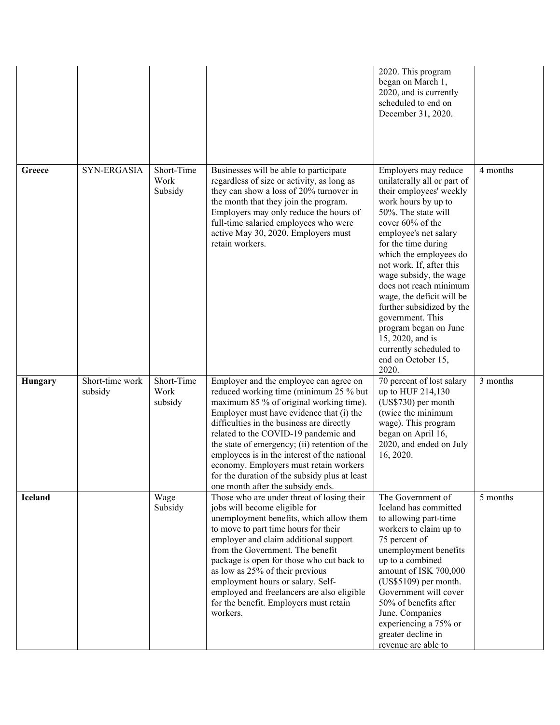|                |                            |                               |                                                                                                                                                                                                                                                                                                                                                                                                                                                                                               | 2020. This program<br>began on March 1,<br>2020, and is currently<br>scheduled to end on<br>December 31, 2020.                                                                                                                                                                                                                                                                                                                                                                                 |          |
|----------------|----------------------------|-------------------------------|-----------------------------------------------------------------------------------------------------------------------------------------------------------------------------------------------------------------------------------------------------------------------------------------------------------------------------------------------------------------------------------------------------------------------------------------------------------------------------------------------|------------------------------------------------------------------------------------------------------------------------------------------------------------------------------------------------------------------------------------------------------------------------------------------------------------------------------------------------------------------------------------------------------------------------------------------------------------------------------------------------|----------|
| Greece         | SYN-ERGASIA                | Short-Time<br>Work<br>Subsidy | Businesses will be able to participate<br>regardless of size or activity, as long as<br>they can show a loss of 20% turnover in<br>the month that they join the program.<br>Employers may only reduce the hours of<br>full-time salaried employees who were<br>active May 30, 2020. Employers must<br>retain workers.                                                                                                                                                                         | Employers may reduce<br>unilaterally all or part of<br>their employees' weekly<br>work hours by up to<br>50%. The state will<br>cover 60% of the<br>employee's net salary<br>for the time during<br>which the employees do<br>not work. If, after this<br>wage subsidy, the wage<br>does not reach minimum<br>wage, the deficit will be<br>further subsidized by the<br>government. This<br>program began on June<br>15, 2020, and is<br>currently scheduled to<br>end on October 15,<br>2020. | 4 months |
| Hungary        | Short-time work<br>subsidy | Short-Time<br>Work<br>subsidy | Employer and the employee can agree on<br>reduced working time (minimum 25 % but<br>maximum 85 % of original working time).<br>Employer must have evidence that (i) the<br>difficulties in the business are directly<br>related to the COVID-19 pandemic and<br>the state of emergency; (ii) retention of the<br>employees is in the interest of the national<br>economy. Employers must retain workers<br>for the duration of the subsidy plus at least<br>one month after the subsidy ends. | 70 percent of lost salary<br>up to HUF 214,130<br>(US\$730) per month<br>(twice the minimum<br>wage). This program<br>began on April 16,<br>2020, and ended on July<br>16, 2020.                                                                                                                                                                                                                                                                                                               | 3 months |
| <b>Iceland</b> |                            | Wage<br>Subsidy               | Those who are under threat of losing their<br>jobs will become eligible for<br>unemployment benefits, which allow them<br>to move to part time hours for their<br>employer and claim additional support<br>from the Government. The benefit<br>package is open for those who cut back to<br>as low as 25% of their previous<br>employment hours or salary. Self-<br>employed and freelancers are also eligible<br>for the benefit. Employers must retain<br>workers.                          | The Government of<br>Iceland has committed<br>to allowing part-time<br>workers to claim up to<br>75 percent of<br>unemployment benefits<br>up to a combined<br>amount of ISK 700,000<br>$(US$5109)$ per month.<br>Government will cover<br>50% of benefits after<br>June. Companies<br>experiencing a 75% or<br>greater decline in<br>revenue are able to                                                                                                                                      | 5 months |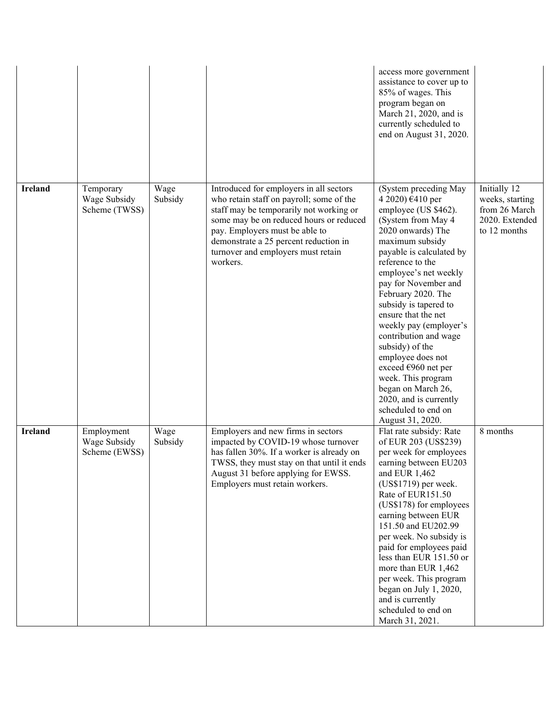|                |                                             |                 |                                                                                                                                                                                                                                                                                                        | access more government<br>assistance to cover up to<br>85% of wages. This<br>program began on<br>March 21, 2020, and is<br>currently scheduled to<br>end on August 31, 2020.                                                                                                                                                                                                                                                                                                                                                              |                                                                                    |
|----------------|---------------------------------------------|-----------------|--------------------------------------------------------------------------------------------------------------------------------------------------------------------------------------------------------------------------------------------------------------------------------------------------------|-------------------------------------------------------------------------------------------------------------------------------------------------------------------------------------------------------------------------------------------------------------------------------------------------------------------------------------------------------------------------------------------------------------------------------------------------------------------------------------------------------------------------------------------|------------------------------------------------------------------------------------|
| <b>Ireland</b> | Temporary<br>Wage Subsidy<br>Scheme (TWSS)  | Wage<br>Subsidy | Introduced for employers in all sectors<br>who retain staff on payroll; some of the<br>staff may be temporarily not working or<br>some may be on reduced hours or reduced<br>pay. Employers must be able to<br>demonstrate a 25 percent reduction in<br>turnover and employers must retain<br>workers. | (System preceding May<br>4 2020) €410 per<br>employee (US \$462).<br>(System from May 4<br>2020 onwards) The<br>maximum subsidy<br>payable is calculated by<br>reference to the<br>employee's net weekly<br>pay for November and<br>February 2020. The<br>subsidy is tapered to<br>ensure that the net<br>weekly pay (employer's<br>contribution and wage<br>subsidy) of the<br>employee does not<br>exceed €960 net per<br>week. This program<br>began on March 26,<br>2020, and is currently<br>scheduled to end on<br>August 31, 2020. | Initially 12<br>weeks, starting<br>from 26 March<br>2020. Extended<br>to 12 months |
| <b>Ireland</b> | Employment<br>Wage Subsidy<br>Scheme (EWSS) | Wage<br>Subsidy | Employers and new firms in sectors<br>impacted by COVID-19 whose turnover<br>has fallen 30%. If a worker is already on<br>TWSS, they must stay on that until it ends<br>August 31 before applying for EWSS.<br>Employers must retain workers.                                                          | Flat rate subsidy: Rate<br>of EUR 203 (US\$239)<br>per week for employees<br>earning between EU203<br>and EUR 1,462<br>(US\$1719) per week.<br>Rate of EUR151.50<br>(US\$178) for employees<br>earning between EUR<br>151.50 and EU202.99<br>per week. No subsidy is<br>paid for employees paid<br>less than EUR 151.50 or<br>more than EUR 1,462<br>per week. This program<br>began on July 1, 2020,<br>and is currently<br>scheduled to end on<br>March 31, 2021.                                                                       | 8 months                                                                           |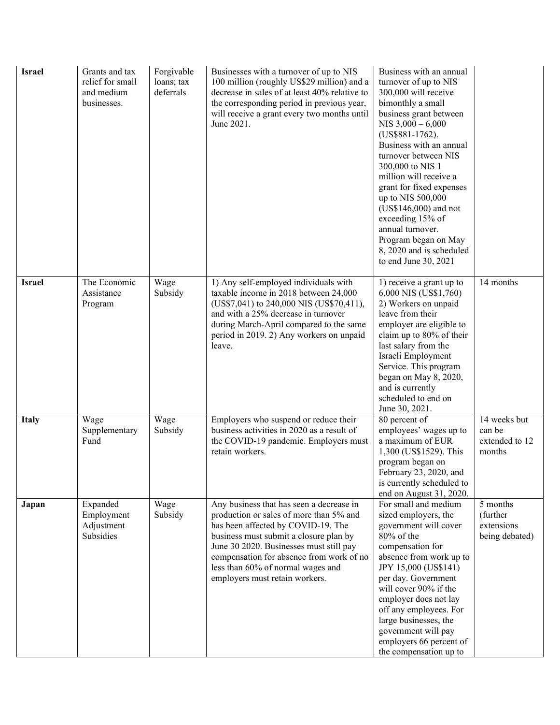| <b>Israel</b> | Grants and tax<br>relief for small<br>and medium<br>businesses. | Forgivable<br>loans; tax<br>deferrals | Businesses with a turnover of up to NIS<br>100 million (roughly US\$29 million) and a<br>decrease in sales of at least 40% relative to<br>the corresponding period in previous year,<br>will receive a grant every two months until<br>June 2021.                                                                                 | Business with an annual<br>turnover of up to NIS<br>300,000 will receive<br>bimonthly a small<br>business grant between<br>NIS $3,000 - 6,000$<br>(US\$881-1762).<br>Business with an annual<br>turnover between NIS<br>300,000 to NIS 1<br>million will receive a<br>grant for fixed expenses<br>up to NIS 500,000<br>(US\$146,000) and not<br>exceeding 15% of<br>annual turnover.<br>Program began on May<br>8, 2020 and is scheduled<br>to end June 30, 2021 |                                                      |
|---------------|-----------------------------------------------------------------|---------------------------------------|-----------------------------------------------------------------------------------------------------------------------------------------------------------------------------------------------------------------------------------------------------------------------------------------------------------------------------------|------------------------------------------------------------------------------------------------------------------------------------------------------------------------------------------------------------------------------------------------------------------------------------------------------------------------------------------------------------------------------------------------------------------------------------------------------------------|------------------------------------------------------|
| <b>Israel</b> | The Economic<br>Assistance<br>Program                           | Wage<br>Subsidy                       | 1) Any self-employed individuals with<br>taxable income in 2018 between 24,000<br>(US\$7,041) to 240,000 NIS (US\$70,411),<br>and with a 25% decrease in turnover<br>during March-April compared to the same<br>period in 2019. 2) Any workers on unpaid<br>leave.                                                                | 1) receive a grant up to<br>6,000 NIS (US\$1,760)<br>2) Workers on unpaid<br>leave from their<br>employer are eligible to<br>claim up to 80% of their<br>last salary from the<br>Israeli Employment<br>Service. This program<br>began on May 8, 2020,<br>and is currently<br>scheduled to end on<br>June 30, 2021.                                                                                                                                               | 14 months                                            |
| <b>Italy</b>  | Wage<br>Supplementary<br>Fund                                   | Wage<br>Subsidy                       | Employers who suspend or reduce their<br>business activities in 2020 as a result of<br>the COVID-19 pandemic. Employers must<br>retain workers.                                                                                                                                                                                   | 80 percent of<br>employees' wages up to<br>a maximum of EUR<br>1,300 (US\$1529). This<br>program began on<br>February 23, 2020, and<br>is currently scheduled to<br>end on August 31, 2020.                                                                                                                                                                                                                                                                      | 14 weeks but<br>can be<br>extended to 12<br>months   |
| Japan         | Expanded<br>Employment<br>Adjustment<br>Subsidies               | Wage<br>Subsidy                       | Any business that has seen a decrease in<br>production or sales of more than 5% and<br>has been affected by COVID-19. The<br>business must submit a closure plan by<br>June 30 2020. Businesses must still pay<br>compensation for absence from work of no<br>less than 60% of normal wages and<br>employers must retain workers. | For small and medium<br>sized employers, the<br>government will cover<br>$80\%$ of the<br>compensation for<br>absence from work up to<br>JPY 15,000 (US\$141)<br>per day. Government<br>will cover 90% if the<br>employer does not lay<br>off any employees. For<br>large businesses, the<br>government will pay<br>employers 66 percent of<br>the compensation up to                                                                                            | 5 months<br>(further<br>extensions<br>being debated) |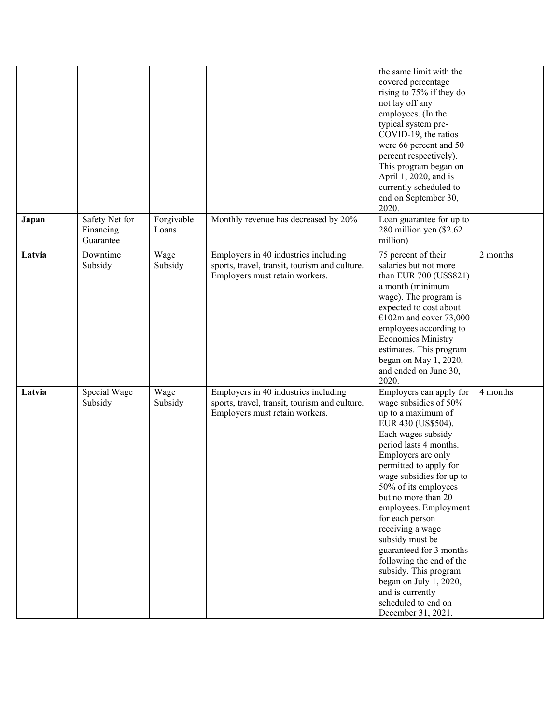|        |                                          |                     |                                                                                                                         | the same limit with the<br>covered percentage<br>rising to 75% if they do<br>not lay off any<br>employees. (In the<br>typical system pre-<br>COVID-19, the ratios<br>were 66 percent and 50<br>percent respectively).<br>This program began on<br>April 1, 2020, and is<br>currently scheduled to<br>end on September 30,<br>2020.                                                                                                                                                                                                    |          |
|--------|------------------------------------------|---------------------|-------------------------------------------------------------------------------------------------------------------------|---------------------------------------------------------------------------------------------------------------------------------------------------------------------------------------------------------------------------------------------------------------------------------------------------------------------------------------------------------------------------------------------------------------------------------------------------------------------------------------------------------------------------------------|----------|
| Japan  | Safety Net for<br>Financing<br>Guarantee | Forgivable<br>Loans | Monthly revenue has decreased by 20%                                                                                    | Loan guarantee for up to<br>280 million yen (\$2.62<br>million)                                                                                                                                                                                                                                                                                                                                                                                                                                                                       |          |
| Latvia | Downtime<br>Subsidy                      | Wage<br>Subsidy     | Employers in 40 industries including<br>sports, travel, transit, tourism and culture.<br>Employers must retain workers. | 75 percent of their<br>salaries but not more<br>than EUR 700 (US\$821)<br>a month (minimum<br>wage). The program is<br>expected to cost about<br>$€102m$ and cover 73,000<br>employees according to<br><b>Economics Ministry</b><br>estimates. This program<br>began on May 1, 2020,<br>and ended on June 30,<br>2020.                                                                                                                                                                                                                | 2 months |
| Latvia | Special Wage<br>Subsidy                  | Wage<br>Subsidy     | Employers in 40 industries including<br>sports, travel, transit, tourism and culture.<br>Employers must retain workers. | Employers can apply for<br>wage subsidies of 50%<br>up to a maximum of<br>EUR 430 (US\$504).<br>Each wages subsidy<br>period lasts 4 months.<br>Employers are only<br>permitted to apply for<br>wage subsidies for up to<br>50% of its employees<br>but no more than 20<br>employees. Employment<br>for each person<br>receiving a wage<br>subsidy must be<br>guaranteed for 3 months<br>following the end of the<br>subsidy. This program<br>began on July 1, 2020,<br>and is currently<br>scheduled to end on<br>December 31, 2021. | 4 months |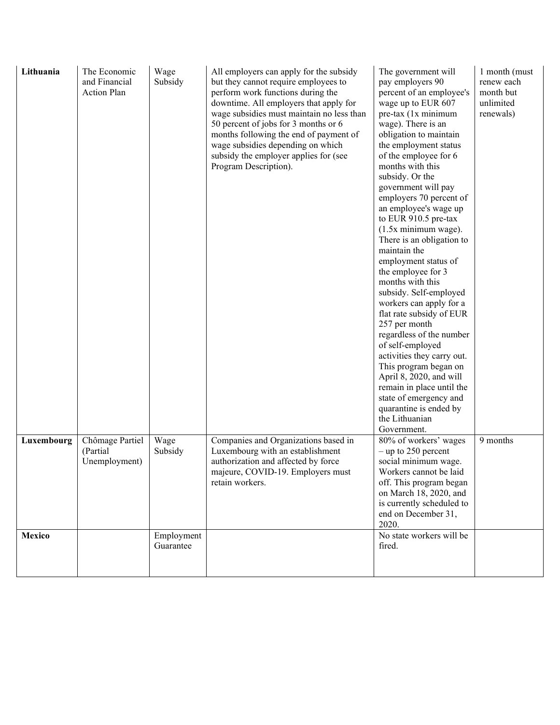| Lithuania  | The Economic<br>and Financial<br><b>Action Plan</b> | Wage<br>Subsidy         | All employers can apply for the subsidy<br>but they cannot require employees to<br>perform work functions during the<br>downtime. All employers that apply for<br>wage subsidies must maintain no less than<br>50 percent of jobs for 3 months or 6<br>months following the end of payment of<br>wage subsidies depending on which<br>subsidy the employer applies for (see<br>Program Description). | The government will<br>pay employers 90<br>percent of an employee's<br>wage up to EUR 607<br>pre-tax (1x minimum<br>wage). There is an<br>obligation to maintain<br>the employment status<br>of the employee for 6<br>months with this<br>subsidy. Or the<br>government will pay<br>employers 70 percent of<br>an employee's wage up<br>to EUR 910.5 pre-tax<br>$(1.5x$ minimum wage).<br>There is an obligation to<br>maintain the<br>employment status of<br>the employee for 3<br>months with this<br>subsidy. Self-employed<br>workers can apply for a<br>flat rate subsidy of EUR<br>257 per month<br>regardless of the number<br>of self-employed<br>activities they carry out.<br>This program began on<br>April 8, 2020, and will<br>remain in place until the<br>state of emergency and<br>quarantine is ended by<br>the Lithuanian<br>Government. | 1 month (must<br>renew each<br>month but<br>unlimited<br>renewals) |
|------------|-----------------------------------------------------|-------------------------|------------------------------------------------------------------------------------------------------------------------------------------------------------------------------------------------------------------------------------------------------------------------------------------------------------------------------------------------------------------------------------------------------|-------------------------------------------------------------------------------------------------------------------------------------------------------------------------------------------------------------------------------------------------------------------------------------------------------------------------------------------------------------------------------------------------------------------------------------------------------------------------------------------------------------------------------------------------------------------------------------------------------------------------------------------------------------------------------------------------------------------------------------------------------------------------------------------------------------------------------------------------------------|--------------------------------------------------------------------|
| Luxembourg | Chômage Partiel<br>(Partial<br>Unemployment)        | Wage<br>Subsidy         | Companies and Organizations based in<br>Luxembourg with an establishment<br>authorization and affected by force<br>majeure, COVID-19. Employers must<br>retain workers.                                                                                                                                                                                                                              | 80% of workers' wages<br>$-$ up to 250 percent<br>social minimum wage.<br>Workers cannot be laid<br>off. This program began<br>on March 18, 2020, and<br>is currently scheduled to<br>end on December 31,<br>2020.                                                                                                                                                                                                                                                                                                                                                                                                                                                                                                                                                                                                                                          | 9 months                                                           |
| Mexico     |                                                     | Employment<br>Guarantee |                                                                                                                                                                                                                                                                                                                                                                                                      | No state workers will be<br>fired.                                                                                                                                                                                                                                                                                                                                                                                                                                                                                                                                                                                                                                                                                                                                                                                                                          |                                                                    |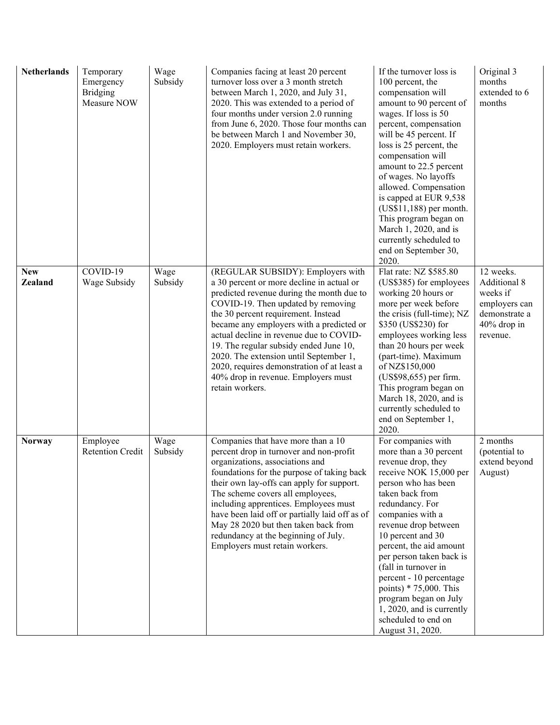| <b>Netherlands</b>           | Temporary<br>Emergency<br><b>Bridging</b><br>Measure NOW | Wage<br>Subsidy | Companies facing at least 20 percent<br>turnover loss over a 3 month stretch<br>between March 1, 2020, and July 31,<br>2020. This was extended to a period of<br>four months under version 2.0 running<br>from June 6, 2020. Those four months can<br>be between March 1 and November 30,<br>2020. Employers must retain workers.                                                                                                                                                           | If the turnover loss is<br>100 percent, the<br>compensation will<br>amount to 90 percent of<br>wages. If loss is 50<br>percent, compensation<br>will be 45 percent. If<br>loss is 25 percent, the<br>compensation will<br>amount to 22.5 percent<br>of wages. No layoffs<br>allowed. Compensation<br>is capped at EUR 9,538<br>$(US$11,188)$ per month.<br>This program began on<br>March 1, 2020, and is<br>currently scheduled to<br>end on September 30,<br>2020. | Original 3<br>months<br>extended to 6<br>months                                                    |
|------------------------------|----------------------------------------------------------|-----------------|---------------------------------------------------------------------------------------------------------------------------------------------------------------------------------------------------------------------------------------------------------------------------------------------------------------------------------------------------------------------------------------------------------------------------------------------------------------------------------------------|----------------------------------------------------------------------------------------------------------------------------------------------------------------------------------------------------------------------------------------------------------------------------------------------------------------------------------------------------------------------------------------------------------------------------------------------------------------------|----------------------------------------------------------------------------------------------------|
| <b>New</b><br><b>Zealand</b> | COVID-19<br>Wage Subsidy                                 | Wage<br>Subsidy | (REGULAR SUBSIDY): Employers with<br>a 30 percent or more decline in actual or<br>predicted revenue during the month due to<br>COVID-19. Then updated by removing<br>the 30 percent requirement. Instead<br>became any employers with a predicted or<br>actual decline in revenue due to COVID-<br>19. The regular subsidy ended June 10,<br>2020. The extension until September 1,<br>2020, requires demonstration of at least a<br>40% drop in revenue. Employers must<br>retain workers. | Flat rate: NZ \$585.80<br>(US\$385) for employees<br>working 20 hours or<br>more per week before<br>the crisis (full-time); NZ<br>\$350 (US\$230) for<br>employees working less<br>than 20 hours per week<br>(part-time). Maximum<br>of NZ\$150,000<br>(US\$98,655) per firm.<br>This program began on<br>March 18, 2020, and is<br>currently scheduled to<br>end on September 1,<br>2020.                                                                           | 12 weeks.<br>Additional 8<br>weeks if<br>employers can<br>demonstrate a<br>40% drop in<br>revenue. |
| <b>Norway</b>                | Employee<br><b>Retention Credit</b>                      | Wage<br>Subsidy | Companies that have more than a 10<br>percent drop in turnover and non-profit<br>organizations, associations and<br>foundations for the purpose of taking back<br>their own lay-offs can apply for support.<br>The scheme covers all employees,<br>including apprentices. Employees must<br>have been laid off or partially laid off as of<br>May 28 2020 but then taken back from<br>redundancy at the beginning of July.<br>Employers must retain workers.                                | For companies with<br>more than a 30 percent<br>revenue drop, they<br>receive NOK 15,000 per<br>person who has been<br>taken back from<br>redundancy. For<br>companies with a<br>revenue drop between<br>10 percent and 30<br>percent, the aid amount<br>per person taken back is<br>(fall in turnover in<br>percent - 10 percentage<br>points) $* 75,000$ . This<br>program began on July<br>1, 2020, and is currently<br>scheduled to end on<br>August 31, 2020.   | 2 months<br>(potential to<br>extend beyond<br>August)                                              |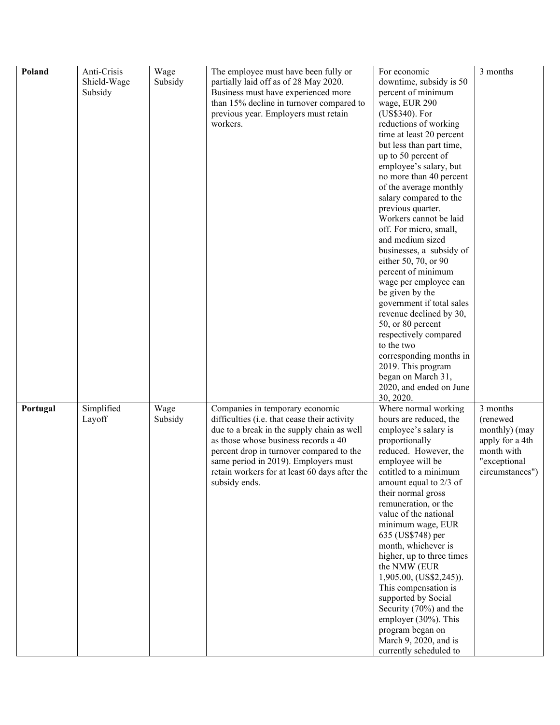| Poland   | Anti-Crisis<br>Shield-Wage<br>Subsidy | Wage<br>Subsidy | The employee must have been fully or<br>partially laid off as of 28 May 2020.<br>Business must have experienced more<br>than 15% decline in turnover compared to<br>previous year. Employers must retain<br>workers.                                                                                                        | For economic<br>downtime, subsidy is 50<br>percent of minimum<br>wage, EUR 290<br>(US\$340). For<br>reductions of working<br>time at least 20 percent<br>but less than part time,<br>up to 50 percent of<br>employee's salary, but<br>no more than 40 percent<br>of the average monthly<br>salary compared to the<br>previous quarter.<br>Workers cannot be laid<br>off. For micro, small,<br>and medium sized<br>businesses, a subsidy of<br>either 50, 70, or 90<br>percent of minimum<br>wage per employee can<br>be given by the<br>government if total sales<br>revenue declined by 30,<br>50, or 80 percent<br>respectively compared<br>to the two<br>corresponding months in<br>2019. This program<br>began on March 31,<br>2020, and ended on June<br>30, 2020. | 3 months                                                                                                  |
|----------|---------------------------------------|-----------------|-----------------------------------------------------------------------------------------------------------------------------------------------------------------------------------------------------------------------------------------------------------------------------------------------------------------------------|-------------------------------------------------------------------------------------------------------------------------------------------------------------------------------------------------------------------------------------------------------------------------------------------------------------------------------------------------------------------------------------------------------------------------------------------------------------------------------------------------------------------------------------------------------------------------------------------------------------------------------------------------------------------------------------------------------------------------------------------------------------------------|-----------------------------------------------------------------------------------------------------------|
| Portugal | Simplified<br>Layoff                  | Wage<br>Subsidy | Companies in temporary economic<br>difficulties (i.e. that cease their activity<br>due to a break in the supply chain as well<br>as those whose business records a 40<br>percent drop in turnover compared to the<br>same period in 2019). Employers must<br>retain workers for at least 60 days after the<br>subsidy ends. | Where normal working<br>hours are reduced, the<br>employee's salary is<br>proportionally<br>reduced. However, the<br>employee will be<br>entitled to a minimum<br>amount equal to 2/3 of<br>their normal gross<br>remuneration, or the<br>value of the national<br>minimum wage, EUR<br>635 (US\$748) per<br>month, whichever is<br>higher, up to three times<br>the NMW (EUR<br>1,905.00, (US\$2,245).<br>This compensation is<br>supported by Social<br>Security (70%) and the<br>employer (30%). This<br>program began on<br>March 9, 2020, and is<br>currently scheduled to                                                                                                                                                                                         | 3 months<br>(renewed<br>monthly) (may<br>apply for a 4th<br>month with<br>"exceptional<br>circumstances") |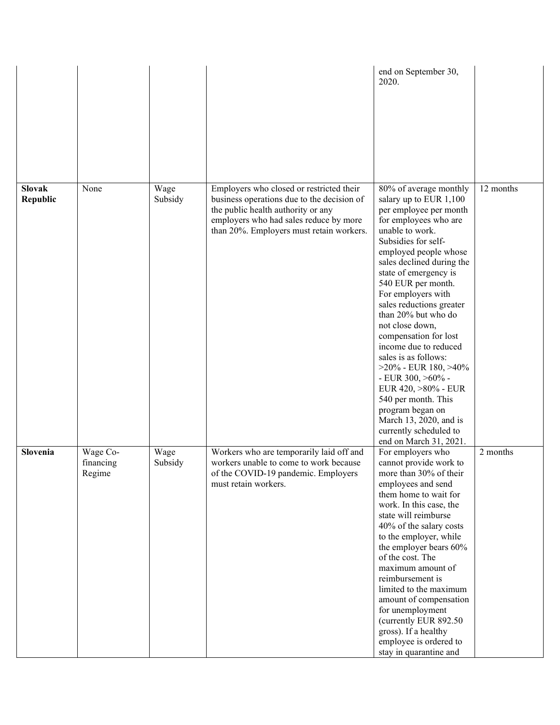|                           |                                 |                 |                                                                                                                                                                                                                    | end on September 30,<br>2020.                                                                                                                                                                                                                                                                                                                                                                                                                                                                                                                                                                                                  |           |
|---------------------------|---------------------------------|-----------------|--------------------------------------------------------------------------------------------------------------------------------------------------------------------------------------------------------------------|--------------------------------------------------------------------------------------------------------------------------------------------------------------------------------------------------------------------------------------------------------------------------------------------------------------------------------------------------------------------------------------------------------------------------------------------------------------------------------------------------------------------------------------------------------------------------------------------------------------------------------|-----------|
| <b>Slovak</b><br>Republic | None                            | Wage<br>Subsidy | Employers who closed or restricted their<br>business operations due to the decision of<br>the public health authority or any<br>employers who had sales reduce by more<br>than 20%. Employers must retain workers. | 80% of average monthly<br>salary up to EUR 1,100<br>per employee per month<br>for employees who are<br>unable to work.<br>Subsidies for self-<br>employed people whose<br>sales declined during the<br>state of emergency is<br>540 EUR per month.<br>For employers with<br>sales reductions greater<br>than 20% but who do<br>not close down,<br>compensation for lost<br>income due to reduced<br>sales is as follows:<br>$>20\%$ - EUR 180, $>40\%$<br>- EUR $300, >60\%$ -<br>EUR 420, >80% - EUR<br>540 per month. This<br>program began on<br>March 13, 2020, and is<br>currently scheduled to<br>end on March 31, 2021. | 12 months |
| Slovenia                  | Wage Co-<br>financing<br>Regime | Wage<br>Subsidy | Workers who are temporarily laid off and<br>workers unable to come to work because<br>of the COVID-19 pandemic. Employers<br>must retain workers.                                                                  | For employers who<br>cannot provide work to<br>more than 30% of their<br>employees and send<br>them home to wait for<br>work. In this case, the<br>state will reimburse<br>40% of the salary costs<br>to the employer, while<br>the employer bears 60%<br>of the cost. The<br>maximum amount of<br>reimbursement is<br>limited to the maximum<br>amount of compensation<br>for unemployment<br>(currently EUR 892.50<br>gross). If a healthy<br>employee is ordered to<br>stay in quarantine and                                                                                                                               | 2 months  |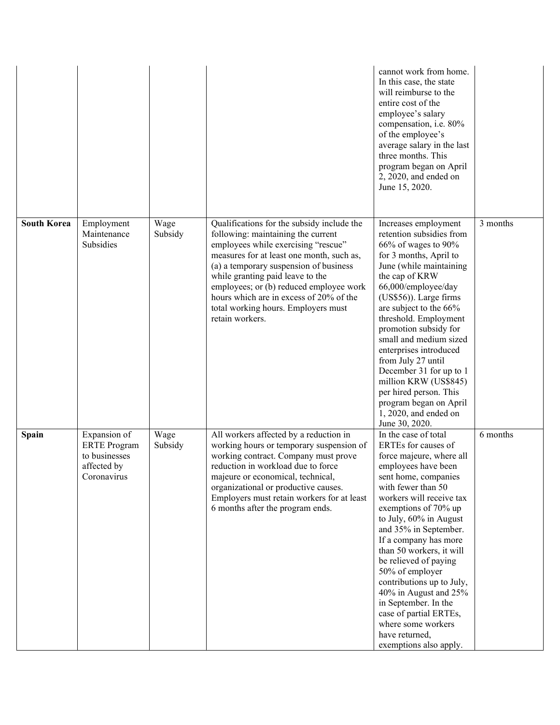|                    |                                                                                    |                 |                                                                                                                                                                                                                                                                                                                                                                                                    | cannot work from home.<br>In this case, the state<br>will reimburse to the<br>entire cost of the<br>employee's salary<br>compensation, i.e. 80%<br>of the employee's<br>average salary in the last<br>three months. This<br>program began on April<br>2, 2020, and ended on<br>June 15, 2020.                                                                                                                                                                                                                                  |          |
|--------------------|------------------------------------------------------------------------------------|-----------------|----------------------------------------------------------------------------------------------------------------------------------------------------------------------------------------------------------------------------------------------------------------------------------------------------------------------------------------------------------------------------------------------------|--------------------------------------------------------------------------------------------------------------------------------------------------------------------------------------------------------------------------------------------------------------------------------------------------------------------------------------------------------------------------------------------------------------------------------------------------------------------------------------------------------------------------------|----------|
| <b>South Korea</b> | Employment<br>Maintenance<br>Subsidies                                             | Wage<br>Subsidy | Qualifications for the subsidy include the<br>following: maintaining the current<br>employees while exercising "rescue"<br>measures for at least one month, such as,<br>(a) a temporary suspension of business<br>while granting paid leave to the<br>employees; or (b) reduced employee work<br>hours which are in excess of 20% of the<br>total working hours. Employers must<br>retain workers. | Increases employment<br>retention subsidies from<br>66% of wages to 90%<br>for 3 months, April to<br>June (while maintaining<br>the cap of KRW<br>66,000/employee/day<br>(US\$56)). Large firms<br>are subject to the 66%<br>threshold. Employment<br>promotion subsidy for<br>small and medium sized<br>enterprises introduced<br>from July 27 until<br>December 31 for up to 1<br>million KRW (US\$845)<br>per hired person. This<br>program began on April<br>1, 2020, and ended on<br>June 30, 2020.                       | 3 months |
| Spain              | Expansion of<br><b>ERTE</b> Program<br>to businesses<br>affected by<br>Coronavirus | Wage<br>Subsidy | All workers affected by a reduction in<br>working hours or temporary suspension of<br>working contract. Company must prove<br>reduction in workload due to force<br>majeure or economical, technical,<br>organizational or productive causes.<br>Employers must retain workers for at least<br>6 months after the program ends.                                                                    | In the case of total<br>ERTEs for causes of<br>force majeure, where all<br>employees have been<br>sent home, companies<br>with fewer than 50<br>workers will receive tax<br>exemptions of 70% up<br>to July, 60% in August<br>and 35% in September.<br>If a company has more<br>than 50 workers, it will<br>be relieved of paying<br>50% of employer<br>contributions up to July,<br>40% in August and 25%<br>in September. In the<br>case of partial ERTEs,<br>where some workers<br>have returned,<br>exemptions also apply. | 6 months |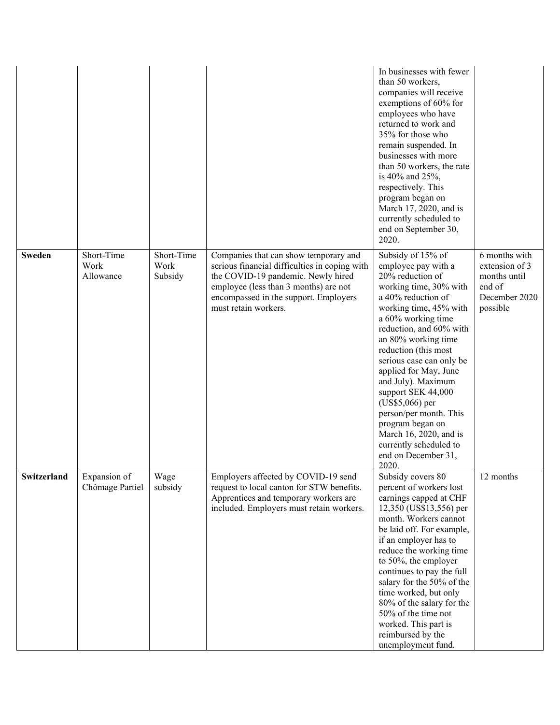|               |                                 |                               |                                                                                                                                                                                                                                        | In businesses with fewer<br>than 50 workers,<br>companies will receive<br>exemptions of 60% for<br>employees who have<br>returned to work and<br>35% for those who<br>remain suspended. In<br>businesses with more<br>than 50 workers, the rate<br>is 40% and 25%,<br>respectively. This<br>program began on<br>March 17, 2020, and is<br>currently scheduled to<br>end on September 30,<br>2020.                                                                                            |                                                                                        |
|---------------|---------------------------------|-------------------------------|----------------------------------------------------------------------------------------------------------------------------------------------------------------------------------------------------------------------------------------|----------------------------------------------------------------------------------------------------------------------------------------------------------------------------------------------------------------------------------------------------------------------------------------------------------------------------------------------------------------------------------------------------------------------------------------------------------------------------------------------|----------------------------------------------------------------------------------------|
| <b>Sweden</b> | Short-Time<br>Work<br>Allowance | Short-Time<br>Work<br>Subsidy | Companies that can show temporary and<br>serious financial difficulties in coping with<br>the COVID-19 pandemic. Newly hired<br>employee (less than 3 months) are not<br>encompassed in the support. Employers<br>must retain workers. | Subsidy of 15% of<br>employee pay with a<br>20% reduction of<br>working time, 30% with<br>a 40% reduction of<br>working time, 45% with<br>a 60% working time<br>reduction, and 60% with<br>an 80% working time<br>reduction (this most<br>serious case can only be<br>applied for May, June<br>and July). Maximum<br>support SEK 44,000<br>(US\$5,066) per<br>person/per month. This<br>program began on<br>March 16, 2020, and is<br>currently scheduled to<br>end on December 31,<br>2020. | 6 months with<br>extension of 3<br>months until<br>end of<br>December 2020<br>possible |
| Switzerland   | Expansion of<br>Chômage Partiel | Wage<br>subsidy               | Employers affected by COVID-19 send<br>request to local canton for STW benefits.<br>Apprentices and temporary workers are<br>included. Employers must retain workers.                                                                  | Subsidy covers 80<br>percent of workers lost<br>earnings capped at CHF<br>12,350 (US\$13,556) per<br>month. Workers cannot<br>be laid off. For example,<br>if an employer has to<br>reduce the working time<br>to 50%, the employer<br>continues to pay the full<br>salary for the 50% of the<br>time worked, but only<br>80% of the salary for the<br>50% of the time not<br>worked. This part is<br>reimbursed by the<br>unemployment fund.                                                | 12 months                                                                              |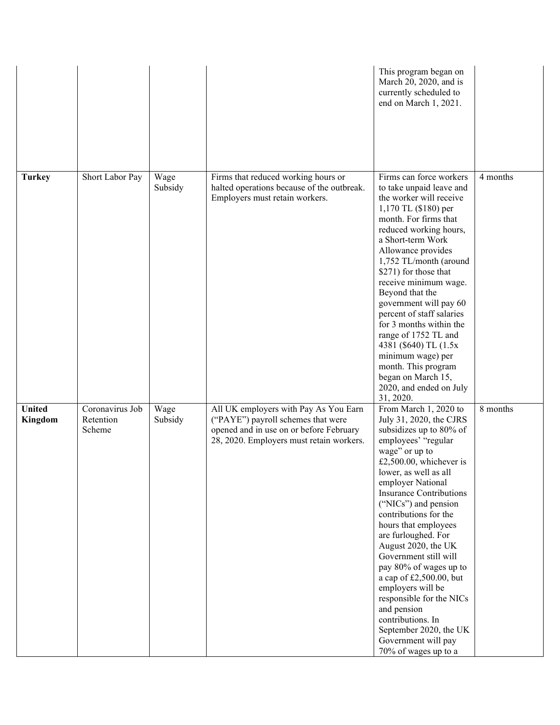|                          |                                        |                 |                                                                                                                                                                    | This program began on<br>March 20, 2020, and is<br>currently scheduled to<br>end on March 1, 2021.                                                                                                                                                                                                                                                                                                                                                                                                                                                                                                 |          |
|--------------------------|----------------------------------------|-----------------|--------------------------------------------------------------------------------------------------------------------------------------------------------------------|----------------------------------------------------------------------------------------------------------------------------------------------------------------------------------------------------------------------------------------------------------------------------------------------------------------------------------------------------------------------------------------------------------------------------------------------------------------------------------------------------------------------------------------------------------------------------------------------------|----------|
| <b>Turkey</b>            | Short Labor Pay                        | Wage<br>Subsidy | Firms that reduced working hours or<br>halted operations because of the outbreak.<br>Employers must retain workers.                                                | Firms can force workers<br>to take unpaid leave and<br>the worker will receive<br>1,170 TL (\$180) per<br>month. For firms that<br>reduced working hours,<br>a Short-term Work<br>Allowance provides<br>1,752 TL/month (around<br>\$271) for those that<br>receive minimum wage.<br>Beyond that the<br>government will pay 60<br>percent of staff salaries<br>for 3 months within the<br>range of 1752 TL and<br>4381 (\$640) TL (1.5x)<br>minimum wage) per<br>month. This program<br>began on March 15,<br>2020, and ended on July<br>31, 2020.                                                  | 4 months |
| <b>United</b><br>Kingdom | Coronavirus Job<br>Retention<br>Scheme | Wage<br>Subsidy | All UK employers with Pay As You Earn<br>("PAYE") payroll schemes that were<br>opened and in use on or before February<br>28, 2020. Employers must retain workers. | From March 1, 2020 to<br>July 31, 2020, the CJRS<br>subsidizes up to 80% of<br>employees' "regular<br>wage" or up to<br>£2,500.00, whichever is<br>lower, as well as all<br>employer National<br><b>Insurance Contributions</b><br>("NICs") and pension<br>contributions for the<br>hours that employees<br>are furloughed. For<br>August 2020, the UK<br>Government still will<br>pay 80% of wages up to<br>a cap of £2,500.00, but<br>employers will be<br>responsible for the NICs<br>and pension<br>contributions. In<br>September 2020, the UK<br>Government will pay<br>70% of wages up to a | 8 months |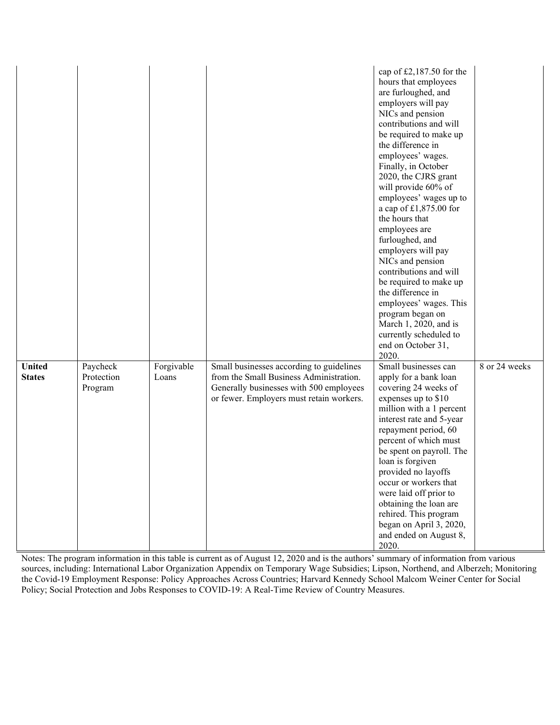|                                |                                   |                     |                                                                                                                                                                            | cap of £2,187.50 for the<br>hours that employees<br>are furloughed, and<br>employers will pay<br>NICs and pension<br>contributions and will<br>be required to make up<br>the difference in<br>employees' wages.<br>Finally, in October<br>2020, the CJRS grant<br>will provide 60% of<br>employees' wages up to<br>a cap of $£1,875.00$ for<br>the hours that<br>employees are<br>furloughed, and<br>employers will pay<br>NICs and pension<br>contributions and will<br>be required to make up<br>the difference in<br>employees' wages. This<br>program began on<br>March 1, 2020, and is<br>currently scheduled to<br>end on October 31,<br>2020. |               |
|--------------------------------|-----------------------------------|---------------------|----------------------------------------------------------------------------------------------------------------------------------------------------------------------------|------------------------------------------------------------------------------------------------------------------------------------------------------------------------------------------------------------------------------------------------------------------------------------------------------------------------------------------------------------------------------------------------------------------------------------------------------------------------------------------------------------------------------------------------------------------------------------------------------------------------------------------------------|---------------|
| <b>United</b><br><b>States</b> | Paycheck<br>Protection<br>Program | Forgivable<br>Loans | Small businesses according to guidelines<br>from the Small Business Administration.<br>Generally businesses with 500 employees<br>or fewer. Employers must retain workers. | Small businesses can<br>apply for a bank loan<br>covering 24 weeks of<br>expenses up to \$10<br>million with a 1 percent<br>interest rate and 5-year<br>repayment period, 60<br>percent of which must<br>be spent on payroll. The<br>loan is forgiven<br>provided no layoffs<br>occur or workers that<br>were laid off prior to<br>obtaining the loan are<br>rehired. This program<br>began on April 3, 2020,<br>and ended on August 8,<br>2020.                                                                                                                                                                                                     | 8 or 24 weeks |

Notes: The program information in this table is current as of August 12, 2020 and is the authors' summary of information from various sources, including: International Labor Organization Appendix on Temporary Wage Subsidies; Lipson, Northend, and Alberzeh; Monitoring the Covid-19 Employment Response: Policy Approaches Across Countries; Harvard Kennedy School Malcom Weiner Center for Social Policy; Social Protection and Jobs Responses to COVID-19: A Real-Time Review of Country Measures.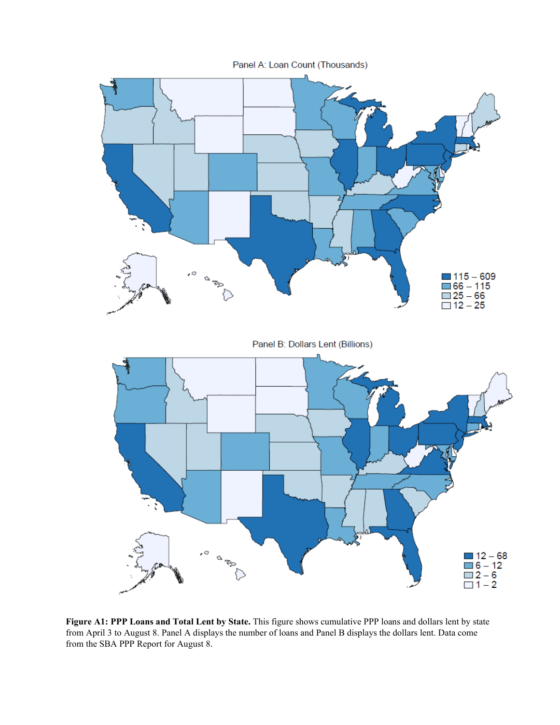

**Figure A1: PPP Loans and Total Lent by State.** This figure shows cumulative PPP loans and dollars lent by state from April 3 to August 8. Panel A displays the number of loans and Panel B displays the dollars lent. Data come from the SBA PPP Report for August 8.